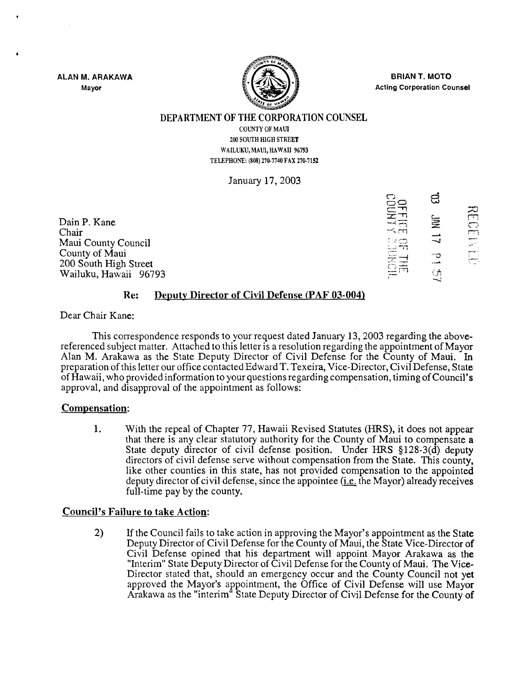ALAN M. ARAKAWA Mayor



BRIAN T. MOTO Acting Corporation Counsel

#### DEPARTMENT OF THE CORPORATION COUNSEL

COUNTY OF MAUl 200 SOUTH HIGH STREET WAILUKU, MAUI, HAWAII 96793 TELEPHONE: (808) 270-7740 FAX 270-7152

January 17, 2003

Dain P. Kane Chair Maui County Council County of Maui 200 South High Street Wailuku, Hawaii 96793

|                          | ದ               |  |
|--------------------------|-----------------|--|
| $\frac{111110}{1311110}$ | 复               |  |
| ್ಷವು                     | ニ               |  |
| Ę<br>ŐÃ<br>Ħ             | ں-<br>۔۔۔<br>Šή |  |

## Re: Deputy Director of Civil Defense (PAF 03-004)

Dear Chair Kane:

This correspondence responds to your request dated January 13, 2003 regarding the abovereferenced subject matter. Attached to this letter is a resolution regarding the appointment of Mayor Alan M. Arakawa as the State Deputy Director of Civil Defense for the County of Maui. In preparation of this letter our office contacted Edward T. Texeira, Vice-Director, Civil Defense, State of Hawaii, who provided information to your questions regarding compensation, timing of Council's approval, and disapproval of the appointment as follows:

## Compensation:

1. With the repeal of Chapter 77, Hawaii Revised Statutes (HRS), it does not appear that there is any clear statutory authority for the County of Maui to compensate a State deputy director of civil defense position. Under HRS §128-3(d) deputy directors of civil defense serve without compensation from the State. This county, like other counties in this state, has not provided compensation to the appointed deputy director of civil defense, since the appointee  $(i.e.$  the Mayor) already receives full-time pay by the county.

## Council's Failure to take Action:

2) If the Council fails to take action in approving the Mayor's appointment as the State Deputy Director of Civil Defense for the County of Maui, the State Vice-Director of Civil Defense opined that his department will appoint Mayor Arakawa as the "Interim" State Deputy Director of Civil Defense for the County of Maui. The Vice-Director stated that, should an emergency occur and the County Council not yet approved the Mayor's appointment, the Office of Civil Defense will use Mayor Arakawa as the "interim" State Deputy Director of Civil Defense for the County of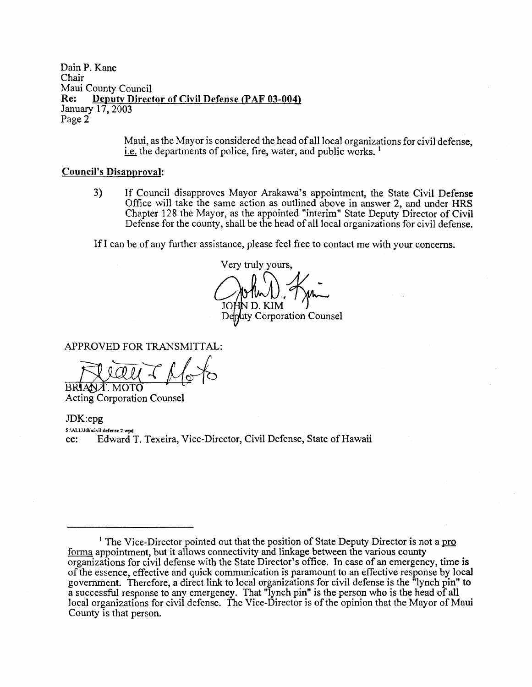DainP. Kane Chair Maui County Council<br>Re: Denuty Direct Deputy Director of Civil Defense (PAF 03-004) January 17, 2003 Page 2

> Maui, as the Mayor is considered the head of all local organizations for civil defense. i.e. the departments of police, fire, water, and public works.<sup>1</sup>

#### Council's Disapproval:

3) If Council disapproves Mayor Arakawa's appointment, the State Civil Defense Office will take the same action as outlined above in answer 2, and under HRS Chapter 128 the Mayor, as the appointed "interim" State Deputy Director of Civil Defense for the county, shall be the head of all local organizations for civil defense.

If I can be of any further assistance, please feel free to contact me with your concerns.

Very truly yours, ty Corporation Counsel  $D_K$ KIM' $T$ 

APPROVED FOR TRANSMITTAL:

 $\frac{1}{\sqrt{2}}$ 

Acting Corporation Counsel

JDK:epg S:IALL\ldk\civil.defense.2.wpd cc: Edward T. Texeira, Vice-Director, Civil Defense, State of Hawaii

<sup>&</sup>lt;sup>1</sup> The Vice-Director pointed out that the position of State Deputy Director is not a pro forma appointment, but it allows connectivity and linkage between the various county organizations for civil defense with the State Director's office. In case of an emergency, time is of the essence, effective and quick communication is paramount to an effective response by local government. Therefore, a direct link to local organizations for civil defense is the "lynch pin" to a successful response to any emergency. That "lynch pin" is the person who is the head of all local organizations for civil defense. The Vice-Director is of the opinion that the Mayor of Maui County is that person.